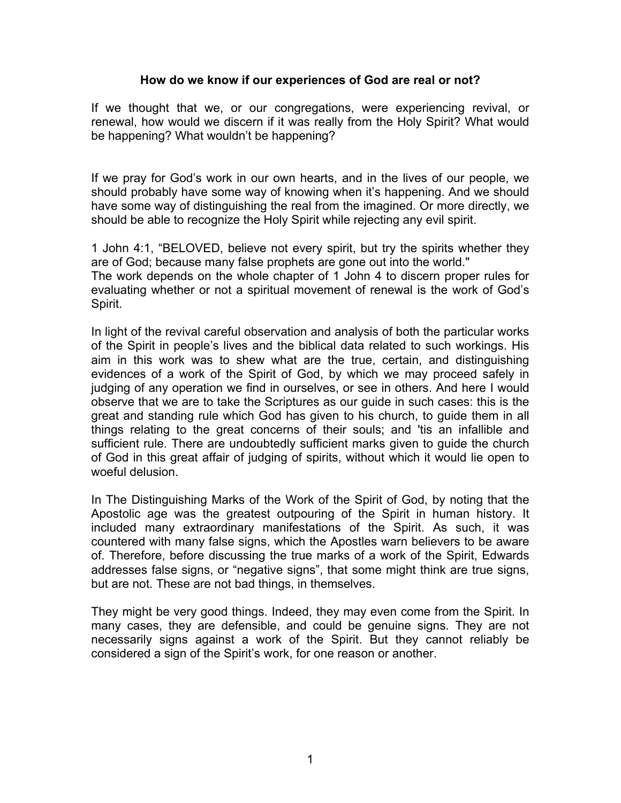## **How do we know if our experiences of God are real or not?**

If we thought that we, or our congregations, were experiencing revival, or renewal, how would we discern if it was really from the Holy Spirit? What would be happening? What wouldn't be happening?

If we pray for God's work in our own hearts, and in the lives of our people, we should probably have some way of knowing when it's happening. And we should have some way of distinguishing the real from the imagined. Or more directly, we should be able to recognize the Holy Spirit while rejecting any evil spirit.

1 John 4:1, "BELOVED, believe not every spirit, but try the spirits whether they are of God; because many false prophets are gone out into the world."

The work depends on the whole chapter of 1 John 4 to discern proper rules for evaluating whether or not a spiritual movement of renewal is the work of God's Spirit.

In light of the revival careful observation and analysis of both the particular works of the Spirit in people's lives and the biblical data related to such workings. His aim in this work was to shew what are the true, certain, and distinguishing evidences of a work of the Spirit of God, by which we may proceed safely in judging of any operation we find in ourselves, or see in others. And here I would observe that we are to take the Scriptures as our guide in such cases: this is the great and standing rule which God has given to his church, to guide them in all things relating to the great concerns of their souls; and 'tis an infallible and sufficient rule. There are undoubtedly sufficient marks given to guide the church of God in this great affair of judging of spirits, without which it would lie open to woeful delusion.

In The Distinguishing Marks of the Work of the Spirit of God, by noting that the Apostolic age was the greatest outpouring of the Spirit in human history. It included many extraordinary manifestations of the Spirit. As such, it was countered with many false signs, which the Apostles warn believers to be aware of. Therefore, before discussing the true marks of a work of the Spirit, Edwards addresses false signs, or "negative signs", that some might think are true signs, but are not. These are not bad things, in themselves.

They might be very good things. Indeed, they may even come from the Spirit. In many cases, they are defensible, and could be genuine signs. They are not necessarily signs against a work of the Spirit. But they cannot reliably be considered a sign of the Spirit's work, for one reason or another.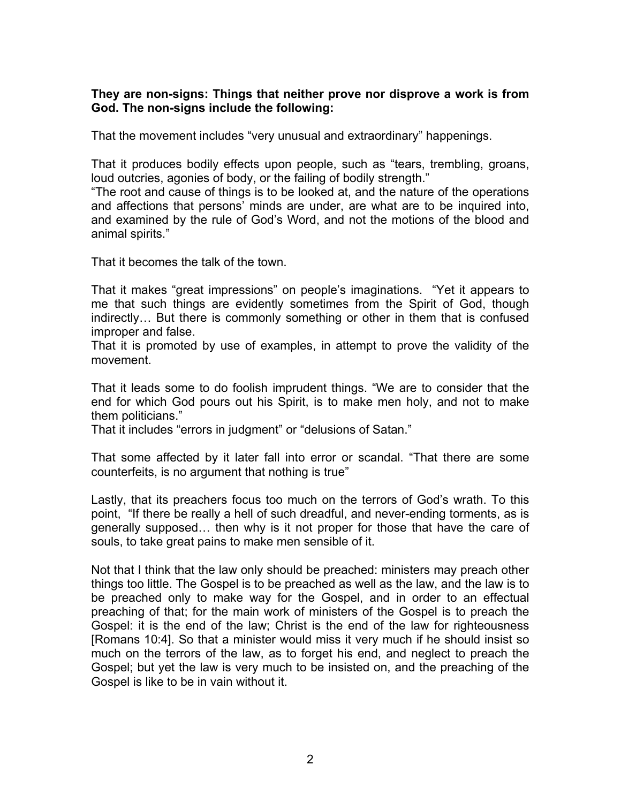## **They are non-signs: Things that neither prove nor disprove a work is from God. The non-signs include the following:**

That the movement includes "very unusual and extraordinary" happenings.

That it produces bodily effects upon people, such as "tears, trembling, groans, loud outcries, agonies of body, or the failing of bodily strength."

"The root and cause of things is to be looked at, and the nature of the operations and affections that persons' minds are under, are what are to be inquired into, and examined by the rule of God's Word, and not the motions of the blood and animal spirits."

That it becomes the talk of the town.

That it makes "great impressions" on people's imaginations. "Yet it appears to me that such things are evidently sometimes from the Spirit of God, though indirectly… But there is commonly something or other in them that is confused improper and false.

That it is promoted by use of examples, in attempt to prove the validity of the movement.

That it leads some to do foolish imprudent things. "We are to consider that the end for which God pours out his Spirit, is to make men holy, and not to make them politicians."

That it includes "errors in judgment" or "delusions of Satan."

That some affected by it later fall into error or scandal. "That there are some counterfeits, is no argument that nothing is true"

Lastly, that its preachers focus too much on the terrors of God's wrath. To this point, "If there be really a hell of such dreadful, and never-ending torments, as is generally supposed… then why is it not proper for those that have the care of souls, to take great pains to make men sensible of it.

Not that I think that the law only should be preached: ministers may preach other things too little. The Gospel is to be preached as well as the law, and the law is to be preached only to make way for the Gospel, and in order to an effectual preaching of that; for the main work of ministers of the Gospel is to preach the Gospel: it is the end of the law; Christ is the end of the law for righteousness [Romans 10:4]. So that a minister would miss it very much if he should insist so much on the terrors of the law, as to forget his end, and neglect to preach the Gospel; but yet the law is very much to be insisted on, and the preaching of the Gospel is like to be in vain without it.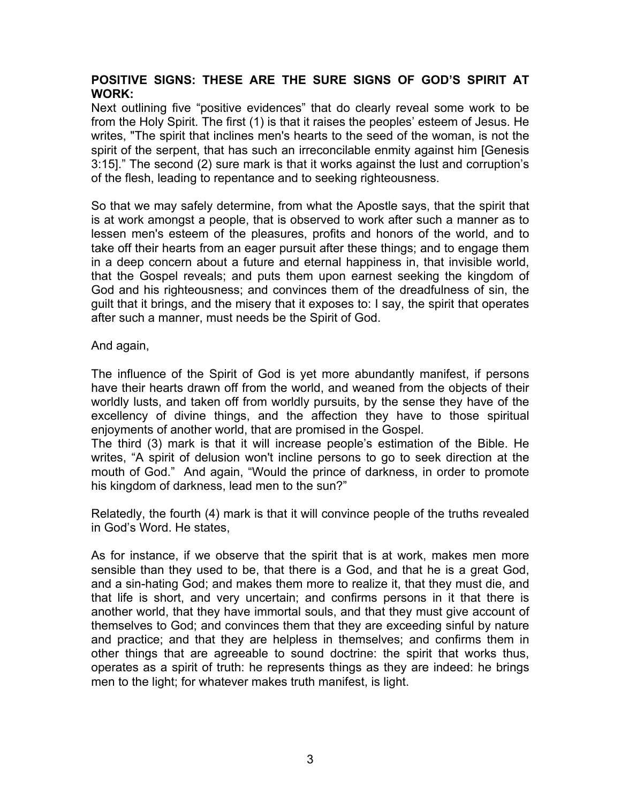## **POSITIVE SIGNS: THESE ARE THE SURE SIGNS OF GOD'S SPIRIT AT WORK:**

Next outlining five "positive evidences" that do clearly reveal some work to be from the Holy Spirit. The first (1) is that it raises the peoples' esteem of Jesus. He writes, "The spirit that inclines men's hearts to the seed of the woman, is not the spirit of the serpent, that has such an irreconcilable enmity against him [Genesis] 3:15]." The second (2) sure mark is that it works against the lust and corruption's of the flesh, leading to repentance and to seeking righteousness.

So that we may safely determine, from what the Apostle says, that the spirit that is at work amongst a people, that is observed to work after such a manner as to lessen men's esteem of the pleasures, profits and honors of the world, and to take off their hearts from an eager pursuit after these things; and to engage them in a deep concern about a future and eternal happiness in, that invisible world, that the Gospel reveals; and puts them upon earnest seeking the kingdom of God and his righteousness; and convinces them of the dreadfulness of sin, the guilt that it brings, and the misery that it exposes to: I say, the spirit that operates after such a manner, must needs be the Spirit of God.

And again,

The influence of the Spirit of God is yet more abundantly manifest, if persons have their hearts drawn off from the world, and weaned from the objects of their worldly lusts, and taken off from worldly pursuits, by the sense they have of the excellency of divine things, and the affection they have to those spiritual enjoyments of another world, that are promised in the Gospel.

The third (3) mark is that it will increase people's estimation of the Bible. He writes, "A spirit of delusion won't incline persons to go to seek direction at the mouth of God." And again, "Would the prince of darkness, in order to promote his kingdom of darkness, lead men to the sun?"

Relatedly, the fourth (4) mark is that it will convince people of the truths revealed in God's Word. He states,

As for instance, if we observe that the spirit that is at work, makes men more sensible than they used to be, that there is a God, and that he is a great God, and a sin-hating God; and makes them more to realize it, that they must die, and that life is short, and very uncertain; and confirms persons in it that there is another world, that they have immortal souls, and that they must give account of themselves to God; and convinces them that they are exceeding sinful by nature and practice; and that they are helpless in themselves; and confirms them in other things that are agreeable to sound doctrine: the spirit that works thus, operates as a spirit of truth: he represents things as they are indeed: he brings men to the light; for whatever makes truth manifest, is light.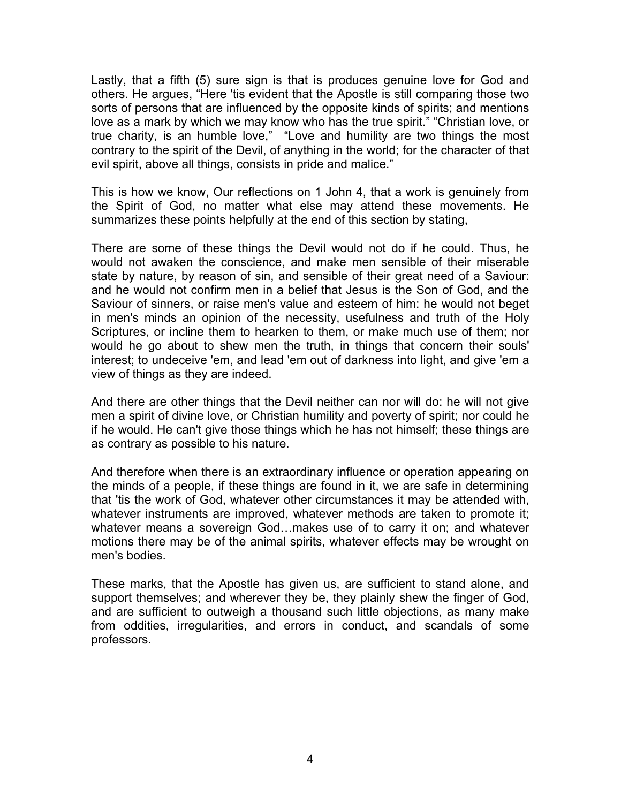Lastly, that a fifth (5) sure sign is that is produces genuine love for God and others. He argues, "Here 'tis evident that the Apostle is still comparing those two sorts of persons that are influenced by the opposite kinds of spirits; and mentions love as a mark by which we may know who has the true spirit." "Christian love, or true charity, is an humble love," "Love and humility are two things the most contrary to the spirit of the Devil, of anything in the world; for the character of that evil spirit, above all things, consists in pride and malice."

This is how we know, Our reflections on 1 John 4, that a work is genuinely from the Spirit of God, no matter what else may attend these movements. He summarizes these points helpfully at the end of this section by stating,

There are some of these things the Devil would not do if he could. Thus, he would not awaken the conscience, and make men sensible of their miserable state by nature, by reason of sin, and sensible of their great need of a Saviour: and he would not confirm men in a belief that Jesus is the Son of God, and the Saviour of sinners, or raise men's value and esteem of him: he would not beget in men's minds an opinion of the necessity, usefulness and truth of the Holy Scriptures, or incline them to hearken to them, or make much use of them; nor would he go about to shew men the truth, in things that concern their souls' interest; to undeceive 'em, and lead 'em out of darkness into light, and give 'em a view of things as they are indeed.

And there are other things that the Devil neither can nor will do: he will not give men a spirit of divine love, or Christian humility and poverty of spirit; nor could he if he would. He can't give those things which he has not himself; these things are as contrary as possible to his nature.

And therefore when there is an extraordinary influence or operation appearing on the minds of a people, if these things are found in it, we are safe in determining that 'tis the work of God, whatever other circumstances it may be attended with, whatever instruments are improved, whatever methods are taken to promote it; whatever means a sovereign God…makes use of to carry it on; and whatever motions there may be of the animal spirits, whatever effects may be wrought on men's bodies.

These marks, that the Apostle has given us, are sufficient to stand alone, and support themselves; and wherever they be, they plainly shew the finger of God, and are sufficient to outweigh a thousand such little objections, as many make from oddities, irregularities, and errors in conduct, and scandals of some professors.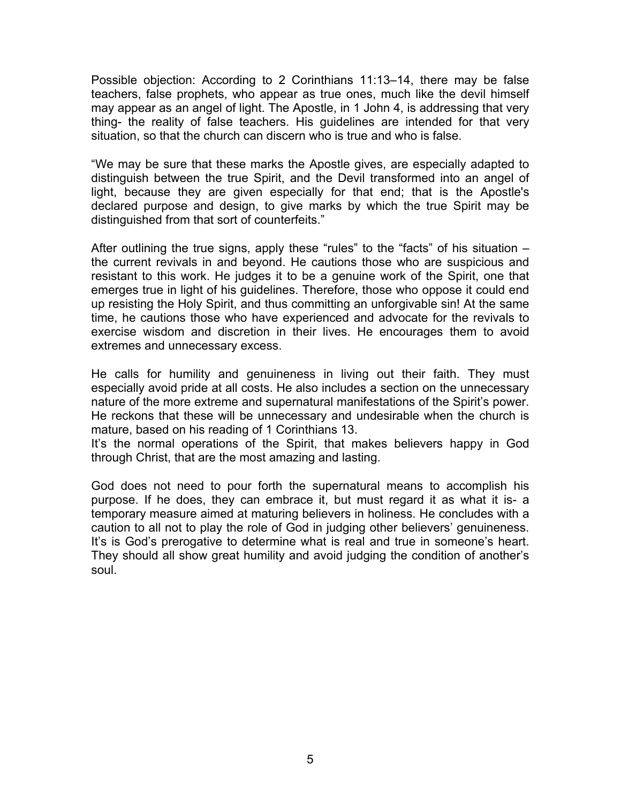Possible objection: According to 2 Corinthians 11:13–14, there may be false teachers, false prophets, who appear as true ones, much like the devil himself may appear as an angel of light. The Apostle, in 1 John 4, is addressing that very thing- the reality of false teachers. His guidelines are intended for that very situation, so that the church can discern who is true and who is false.

"We may be sure that these marks the Apostle gives, are especially adapted to distinguish between the true Spirit, and the Devil transformed into an angel of light, because they are given especially for that end; that is the Apostle's declared purpose and design, to give marks by which the true Spirit may be distinguished from that sort of counterfeits."

After outlining the true signs, apply these "rules" to the "facts" of his situation – the current revivals in and beyond. He cautions those who are suspicious and resistant to this work. He judges it to be a genuine work of the Spirit, one that emerges true in light of his guidelines. Therefore, those who oppose it could end up resisting the Holy Spirit, and thus committing an unforgivable sin! At the same time, he cautions those who have experienced and advocate for the revivals to exercise wisdom and discretion in their lives. He encourages them to avoid extremes and unnecessary excess.

He calls for humility and genuineness in living out their faith. They must especially avoid pride at all costs. He also includes a section on the unnecessary nature of the more extreme and supernatural manifestations of the Spirit's power. He reckons that these will be unnecessary and undesirable when the church is mature, based on his reading of 1 Corinthians 13.

It's the normal operations of the Spirit, that makes believers happy in God through Christ, that are the most amazing and lasting.

God does not need to pour forth the supernatural means to accomplish his purpose. If he does, they can embrace it, but must regard it as what it is- a temporary measure aimed at maturing believers in holiness. He concludes with a caution to all not to play the role of God in judging other believers' genuineness. It's is God's prerogative to determine what is real and true in someone's heart. They should all show great humility and avoid judging the condition of another's soul.